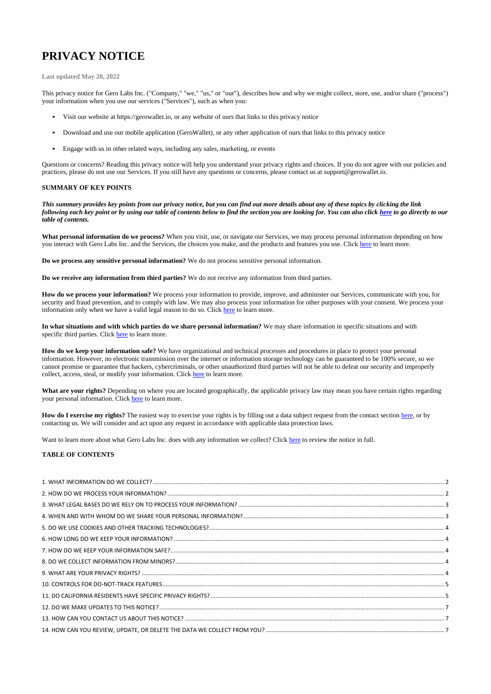# **PRIVACY NOTICE**

#### **Last updated May 20, 2022**

- Visit our website at [https://gerowallet.io,](https://gerowallet.io/) or any website of ours that links to this privacy notice
- Download and use our mobile application (GeroWallet), or any other application of ours that links to this privacy notice
- **•** Engage with us in other related ways, including any sales, marketing, or events

This privacy notice for Gero Labs Inc. ("Company," "we," "us," or "our"), describes how and why we might collect, store, use, and/or share ("process") your information when you use our services ("Services"), such as when you:

Questions or concerns? Reading this privacy notice will help you understand your privacy rights and choices. If you do not agree with our policies and practices, please do not use our Services. If you still have any questions or concerns, please contact us at support@gerowallet.io.

## **SUMMARY OF KEY POINTS**

*This summary provides key points from our privacy notice, but you can find out more details about any of these topics by clicking the link following each key point or by using our table of contents below to find the section you are looking for. You can also click [here](#page-0-0) to go directly to our table of contents.*

**What personal information do we process?** When you visit, use, or navigate our Services, we may process personal information depending on how you interact with Gero Labs Inc. and the Services, the choices you make, and the products and features you use. Click [here](#page-1-0) to learn more.

**What are your rights?** Depending on where you are located geographically, the applicable privacy law may mean you have certain rights regarding your personal information. Click [here](#page-3-1) to learn more.

**Do we process any sensitive personal information?** We do not process sensitive personal information.

**How do I exercise my rights?** The easiest way to exercise your rights is by filling out a data subject request from the contact section [here,](https://gerowallet.io/#support) or by contacting us. We will consider and act upon any request in accordance with applicable data protection laws.

<span id="page-0-0"></span>Want to learn more about what Gero Labs Inc. does with any information we collect? Click [here](#page-0-0) to review the notice in full.

**Do we receive any information from third parties?** We do not receive any information from third parties.

**How do we process your information?** We process your information to provide, improve, and administer our Services, communicate with you, for security and fraud prevention, and to comply with law. We may also process your information for other purposes with your consent. We process your information only when we have a valid legal reason to do so. Click [here](#page-2-0) to learn more.

**In what situations and with which parties do we share personal information?** We may share information in specific situations and with specific third parties. Click [here](#page-2-1) to learn more.

**How do we keep your information safe?** We have organizational and technical processes and procedures in place to protect your personal information. However, no electronic transmission over the internet or information storage technology can be guaranteed to be 100% secure, so we cannot promise or guarantee that hackers, cybercriminals, or other unauthorized third parties will not be able to defeat our security and improperly collect, access, steal, or modify your information. Click [here](#page-3-0) to learn more.

## **TABLE OF CONTENTS**

<span id="page-0-1"></span>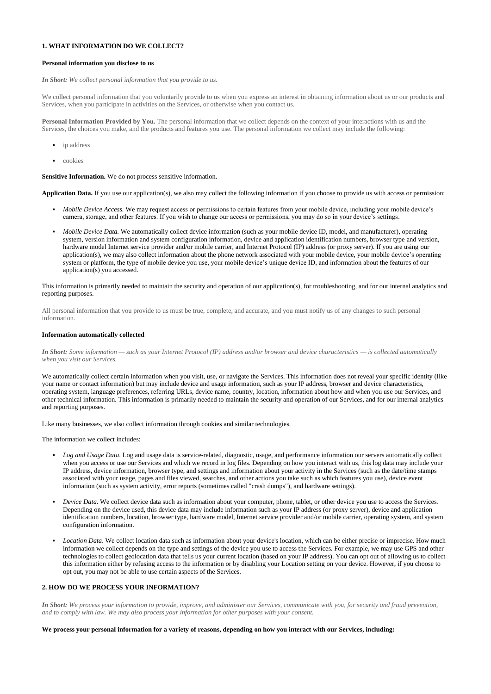## <span id="page-1-0"></span>**1. WHAT INFORMATION DO WE COLLECT?**

### **Personal information you disclose to us**

#### *In Short: We collect personal information that you provide to us.*

We collect personal information that you voluntarily provide to us when you express an interest in obtaining information about us or our products and Services, when you participate in activities on the Services, or otherwise when you contact us.

**Personal Information Provided by You.** The personal information that we collect depends on the context of your interactions with us and the Services, the choices you make, and the products and features you use. The personal information we collect may include the following:

- ip address
- cookies

**Sensitive Information.** We do not process sensitive information.

**Application Data.** If you use our application(s), we also may collect the following information if you choose to provide us with access or permission:

- *Mobile Device Access.* We may request access or permissions to certain features from your mobile device, including your mobile device's camera, storage, and other features. If you wish to change our access or permissions, you may do so in your device's settings.
- *Mobile Device Data.* We automatically collect device information (such as your mobile device ID, model, and manufacturer), operating system, version information and system configuration information, device and application identification numbers, browser type and version, hardware model Internet service provider and/or mobile carrier, and Internet Protocol (IP) address (or proxy server). If you are using our application(s), we may also collect information about the phone network associated with your mobile device, your mobile device's operating system or platform, the type of mobile device you use, your mobile device's unique device ID, and information about the features of our application(s) you accessed.

This information is primarily needed to maintain the security and operation of our application(s), for troubleshooting, and for our internal analytics and reporting purposes.

All personal information that you provide to us must be true, complete, and accurate, and you must notify us of any changes to such personal information.

#### **Information automatically collected**

*In Short: Some information — such as your Internet Protocol (IP) address and/or browser and device characteristics — is collected automatically when you visit our Services.*

Location Data. We collect location data such as information about your device's location, which can be either precise or imprecise. How much information we collect depends on the type and settings of the device you use to access the Services. For example, we may use GPS and other technologies to collect geolocation data that tells us your current location (based on your IP address). You can opt out of allowing us to collect this information either by refusing access to the information or by disabling your Location setting on your device. However, if you choose to opt out, you may not be able to use certain aspects of the Services.

We automatically collect certain information when you visit, use, or navigate the Services. This information does not reveal your specific identity (like your name or contact information) but may include device and usage information, such as your IP address, browser and device characteristics, operating system, language preferences, referring URLs, device name, country, location, information about how and when you use our Services, and other technical information. This information is primarily needed to maintain the security and operation of our Services, and for our internal analytics and reporting purposes.

Like many businesses, we also collect information through cookies and similar technologies.

The information we collect includes:

- *Log and Usage Data*. Log and usage data is service-related, diagnostic, usage, and performance information our servers automatically collect when you access or use our Services and which we record in log files. Depending on how you interact with us, this log data may include your IP address, device information, browser type, and settings and information about your activity in the Services (such as the date/time stamps associated with your usage, pages and files viewed, searches, and other actions you take such as which features you use), device event information (such as system activity, error reports (sometimes called "crash dumps"), and hardware settings).
- Device Data. We collect device data such as information about your computer, phone, tablet, or other device you use to access the Services. Depending on the device used, this device data may include information such as your IP address (or proxy server), device and application identification numbers, location, browser type, hardware model, Internet service provider and/or mobile carrier, operating system, and system

#### configuration information.

#### <span id="page-1-1"></span>**2. HOW DO WE PROCESS YOUR INFORMATION?**

*In Short: We process your information to provide, improve, and administer our Services, communicate with you, for security and fraud prevention, and to comply with law. We may also process your information for other purposes with your consent.*

#### **We process your personal information for a variety of reasons, depending on how you interact with our Services, including:**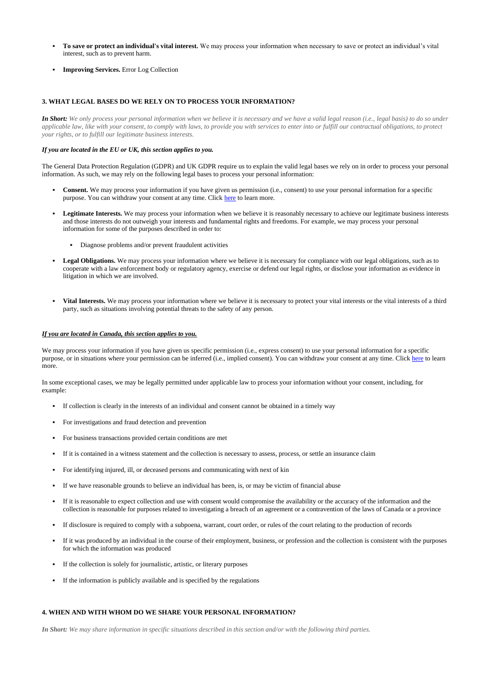- **To save or protect an individual's vital interest.** We may process your information when necessary to save or protect an individual's vital interest, such as to prevent harm.
- **Improving Services.** Error Log Collection

## <span id="page-2-0"></span>**3. WHAT LEGAL BASES DO WE RELY ON TO PROCESS YOUR INFORMATION?**

*In Short: We only process your personal information when we believe it is necessary and we have a valid legal reason (i.e., legal basis) to do so under applicable law, like with your consent, to comply with laws, to provide you with services to enter into or fulfill our contractual obligations, to protect your rights, or to fulfill our legitimate business interests.*

## *If you are located in the EU or UK, this section applies to you.*

The General Data Protection Regulation (GDPR) and UK GDPR require us to explain the valid legal bases we rely on in order to process your personal information. As such, we may rely on the following legal bases to process your personal information:

- **Consent.** We may process your information if you have given us permission (i.e., consent) to use your personal information for a specific purpose. You can withdraw your consent at any time. Click [here](#page-6-2) to learn more.
- Legitimate Interests. We may process your information when we believe it is reasonably necessary to achieve our legitimate business interests and those interests do not outweigh your interests and fundamental rights and freedoms. For example, we may process your personal information for some of the purposes described in order to:
	- Diagnose problems and/or prevent fraudulent activities
- Legal Obligations. We may process your information where we believe it is necessary for compliance with our legal obligations, such as to cooperate with a law enforcement body or regulatory agency, exercise or defend our legal rights, or disclose your information as evidence in litigation in which we are involved.
- **Vital Interests.** We may process your information where we believe it is necessary to protect your vital interests or the vital interests of a third party, such as situations involving potential threats to the safety of any person.

- If collection is clearly in the interests of an individual and consent cannot be obtained in a timely way
- For investigations and fraud detection and prevention
- For business transactions provided certain conditions are met
- If it is contained in a witness statement and the collection is necessary to assess, process, or settle an insurance claim
- For identifying injured, ill, or deceased persons and communicating with next of kin
- If we have reasonable grounds to believe an individual has been, is, or may be victim of financial abuse
- If it is reasonable to expect collection and use with consent would compromise the availability or the accuracy of the information and the collection is reasonable for purposes related to investigating a breach of an agreement or a contravention of the laws of Canada or a province

- If disclosure is required to comply with a subpoena, warrant, court order, or rules of the court relating to the production of records
- If it was produced by an individual in the course of their employment, business, or profession and the collection is consistent with the purposes for which the information was produced
- If the collection is solely for journalistic, artistic, or literary purposes
- If the information is publicly available and is specified by the regulations

#### *If you are located in Canada, this section applies to you.*

We may process your information if you have given us specific permission (i.e., express consent) to use your personal information for a specific purpose, or in situations w[here](#page-6-2) your permission can be inferred (i.e., implied consent). You can withdraw your consent at any time. Click here to learn more.

In some exceptional cases, we may be legally permitted under applicable law to process your information without your consent, including, for example:

## <span id="page-2-1"></span>**4. WHEN AND WITH WHOM DO WE SHARE YOUR PERSONAL INFORMATION?**

*In Short: We may share information in specific situations described in this section and/or with the following third parties.*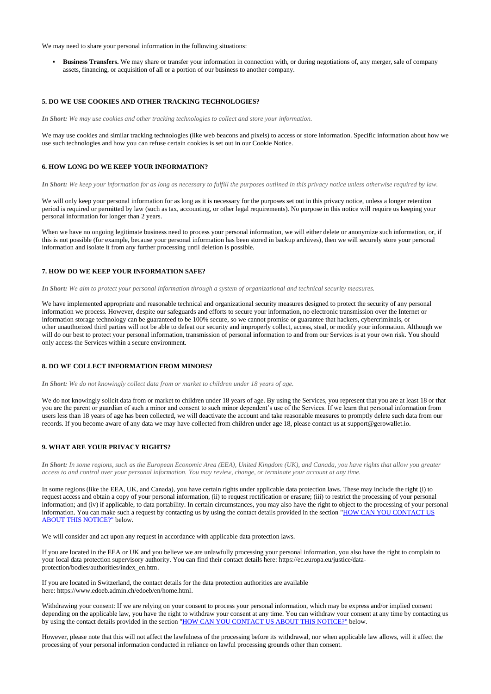We may need to share your personal information in the following situations:

**Business Transfers.** We may share or transfer your information in connection with, or during negotiations of, any merger, sale of company assets, financing, or acquisition of all or a portion of our business to another company.

## <span id="page-3-2"></span>**5. DO WE USE COOKIES AND OTHER TRACKING TECHNOLOGIES?**

We may use cookies and similar tracking technologies (like web beacons and pixels) to access or store information. Specific information about how we use such technologies and how you can refuse certain cookies is set out in our Cookie Notice.

*In Short: We may use cookies and other tracking technologies to collect and store your information.*

We will only keep your personal information for as long as it is necessary for the purposes set out in this privacy notice, unless a longer retention period is required or permitted by law (such as tax, accounting, or other legal requirements). No purpose in this notice will require us keeping your personal information for longer than 2 years.

## <span id="page-3-3"></span>**6. HOW LONG DO WE KEEP YOUR INFORMATION?**

In Short: We keep your information for as long as necessary to fulfill the purposes outlined in this privacy notice unless otherwise required by law.

When we have no ongoing legitimate business need to process your personal information, we will either delete or anonymize such information, or, if this is not possible (for example, because your personal information has been stored in backup archives), then we will securely store your personal information and isolate it from any further processing until deletion is possible.

We have implemented appropriate and reasonable technical and organizational security measures designed to protect the security of any personal information we process. However, despite our safeguards and efforts to secure your information, no electronic transmission over the Internet or information storage technology can be guaranteed to be 100% secure, so we cannot promise or guarantee that hackers, cybercriminals, or other unauthorized third parties will not be able to defeat our security and improperly collect, access, steal, or modify your information. Although we will do our best to protect your personal information, transmission of personal information to and from our Services is at your own risk. You should only access the Services within a secure environment.

#### <span id="page-3-0"></span>**7. HOW DO WE KEEP YOUR INFORMATION SAFE?**

We do not knowingly solicit data from or market to children under 18 years of age. By using the Services, you represent that you are at least 18 or that you are the parent or guardian of such a minor and consent to such minor dependent's use of the Services. If we learn that personal information from users less than 18 years of age has been collected, we will deactivate the account and take reasonable measures to promptly delete such data from our records. If you become aware of any data we may have collected from children under age 18, please contact us at support@gerowallet.io.

*In Short: We aim to protect your personal information through a system of organizational and technical security measures.*

#### <span id="page-3-4"></span>**8. DO WE COLLECT INFORMATION FROM MINORS?**

*In Short: We do not knowingly collect data from or market to children under 18 years of age.*

#### <span id="page-3-1"></span>**9. WHAT ARE YOUR PRIVACY RIGHTS?**

*In Short: In some regions, such as the European Economic Area (EEA), United Kingdom (UK), and Canada, you have rights that allow you greater access to and control over your personal information. You may review, change, or terminate your account at any time.*

In some regions (like the EEA, UK, and Canada), you have certain rights under applicable data protection laws. These may include the right (i) to request access and obtain a copy of your personal information, (ii) to request rectification or erasure; (iii) to restrict the processing of your personal information; and (iv) if applicable, to data portability. In certain circumstances, you may also have the right to object to the processing of your personal information. You can make such a request by contacting us by using the contact details provided in the section ["HOW CAN YOU CONTACT US](#page-6-1)  [ABOUT THIS NOTICE?"](#page-6-1) below.

We will consider and act upon any request in accordance with applicable data protection laws.

If you are located in the EEA or UK and you believe we are unlawfully processing your personal information, you also have the right to complain to your local data protection supervisory authority. You can find their contact details here: [https://ec.europa.eu/justice/data](https://ec.europa.eu/justice/data-protection/bodies/authorities/index_en.htm)[protection/bodies/authorities/index\\_en.htm.](https://ec.europa.eu/justice/data-protection/bodies/authorities/index_en.htm)

If you are located in Switzerland, the contact details for the data protection authorities are available here: [https://www.edoeb.admin.ch/edoeb/en/home.html.](https://www.edoeb.admin.ch/edoeb/en/home.html)

Withdrawing your consent: If we are relying on your consent to process your personal information, which may be express and/or implied consent depending on the applicable law, you have the right to withdraw your consent at any time. You can withdraw your consent at any time by contacting us by using the contact details provided in the section ["HOW CAN YOU CONTACT US ABOUT THIS NOTICE?"](#page-6-1) below.

However, please note that this will not affect the lawfulness of the processing before its withdrawal, nor when applicable law allows, will it affect the processing of your personal information conducted in reliance on lawful processing grounds other than consent.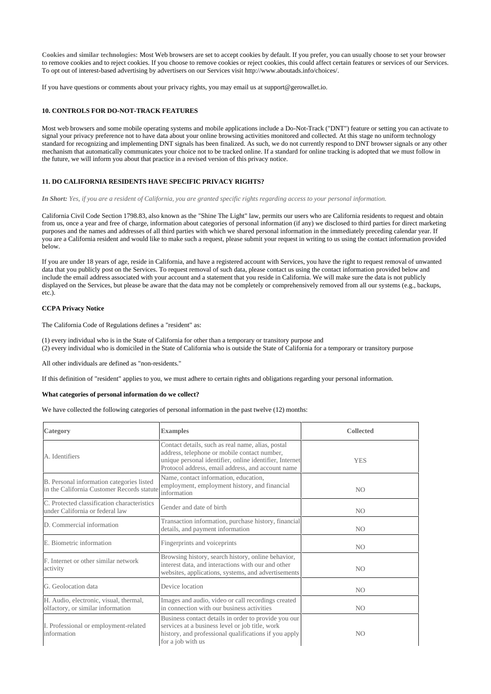**Cookies and similar technologies:** Most Web browsers are set to accept cookies by default. If you prefer, you can usually choose to set your browser to remove cookies and to reject cookies. If you choose to remove cookies or reject cookies, this could affect certain features or services of our Services. To opt out of interest-based advertising by advertisers on our Services visit [http://www.aboutads.info/choices/.](http://www.aboutads.info/choices/)

If you have questions or comments about your privacy rights, you may email us at support@gerowallet.io.

## <span id="page-4-0"></span>**10. CONTROLS FOR DO-NOT-TRACK FEATURES**

Most web browsers and some mobile operating systems and mobile applications include a Do-Not-Track ("DNT") feature or setting you can activate to signal your privacy preference not to have data about your online browsing activities monitored and collected. At this stage no uniform technology standard for recognizing and implementing DNT signals has been finalized. As such, we do not currently respond to DNT browser signals or any other mechanism that automatically communicates your choice not to be tracked online. If a standard for online tracking is adopted that we must follow in the future, we will inform you about that practice in a revised version of this privacy notice.

## <span id="page-4-1"></span>**11. DO CALIFORNIA RESIDENTS HAVE SPECIFIC PRIVACY RIGHTS?**

*In Short: Yes, if you are a resident of California, you are granted specific rights regarding access to your personal information.*

California Civil Code Section 1798.83, also known as the "Shine The Light" law, permits our users who are California residents to request and obtain from us, once a year and free of charge, information about categories of personal information (if any) we disclosed to third parties for direct marketing purposes and the names and addresses of all third parties with which we shared personal information in the immediately preceding calendar year. If you are a California resident and would like to make such a request, please submit your request in writing to us using the contact information provided below.

If you are under 18 years of age, reside in California, and have a registered account with Services, you have the right to request removal of unwanted data that you publicly post on the Services. To request removal of such data, please contact us using the contact information provided below and include the email address associated with your account and a statement that you reside in California. We will make sure the data is not publicly displayed on the Services, but please be aware that the data may not be completely or comprehensively removed from all our systems (e.g., backups, etc.).

#### **CCPA Privacy Notice**

The California Code of Regulations defines a "resident" as:

(1) every individual who is in the State of California for other than a temporary or transitory purpose and (2) every individual who is domiciled in the State of California who is outside the State of California for a temporary or transitory purpose

All other individuals are defined as "non-residents."

If this definition of "resident" applies to you, we must adhere to certain rights and obligations regarding your personal information.

#### **What categories of personal information do we collect?**

We have collected the following categories of personal information in the past twelve (12) months:

| <b>Category</b>                                                                         | <b>Examples</b>                                                                                                                                                                                                   | <b>Collected</b> |
|-----------------------------------------------------------------------------------------|-------------------------------------------------------------------------------------------------------------------------------------------------------------------------------------------------------------------|------------------|
| A. Identifiers                                                                          | Contact details, such as real name, alias, postal<br>address, telephone or mobile contact number,<br>unique personal identifier, online identifier, Internet<br>Protocol address, email address, and account name | <b>YES</b>       |
| B. Personal information categories listed<br>in the California Customer Records statute | Name, contact information, education,<br>employment, employment history, and financial<br>information                                                                                                             | <b>NO</b>        |
| C. Protected classification characteristics<br>under California or federal law          | Gender and date of birth                                                                                                                                                                                          | N <sub>O</sub>   |
| D. Commercial information                                                               | Transaction information, purchase history, financial<br>details, and payment information                                                                                                                          | N <sub>O</sub>   |
| E. Biometric information                                                                | Fingerprints and voiceprints                                                                                                                                                                                      | N <sub>O</sub>   |
| F. Internet or other similar network<br>activity                                        | Browsing history, search history, online behavior,<br>interest data, and interactions with our and other<br>websites, applications, systems, and advertisements                                                   | N <sub>O</sub>   |
| G. Geolocation data                                                                     | Device location                                                                                                                                                                                                   | N <sub>O</sub>   |
| H. Audio, electronic, visual, thermal,<br>olfactory, or similar information             | Images and audio, video or call recordings created<br>in connection with our business activities                                                                                                                  | <b>NO</b>        |
| I. Professional or employment-related<br>information                                    | Business contact details in order to provide you our<br>services at a business level or job title, work<br>history, and professional qualifications if you apply<br>for a job with us                             | N <sub>O</sub>   |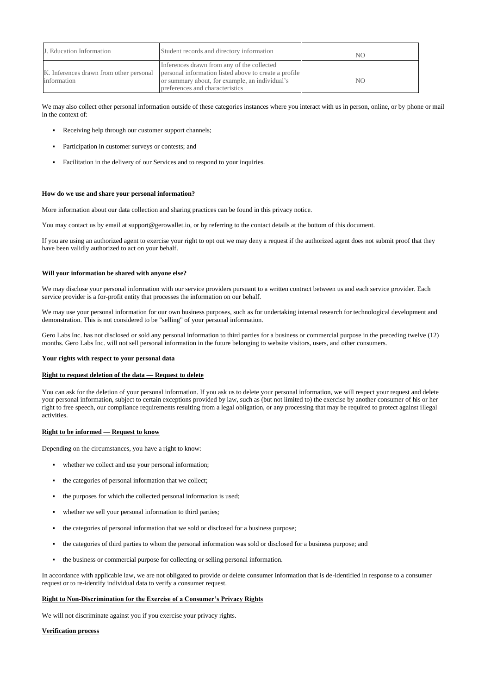| J. Education Information                               | Student records and directory information                                                                                                                                                | NO |
|--------------------------------------------------------|------------------------------------------------------------------------------------------------------------------------------------------------------------------------------------------|----|
| K. Inferences drawn from other personal<br>information | Inferences drawn from any of the collected<br>personal information listed above to create a profile<br>or summary about, for example, an individual's<br>preferences and characteristics | NО |

- Receiving help through our customer support channels;
- Participation in customer surveys or contests; and
- Facilitation in the delivery of our Services and to respond to your inquiries.

We may also collect other personal information outside of these categories instances where you interact with us in person, online, or by phone or mail in the context of:

## **How do we use and share your personal information?**

More information about our data collection and sharing practices can be found in this privacy notice.

You may contact us by email at support@gerowallet.io, or by referring to the contact details at the bottom of this document.

We may use your personal information for our own business purposes, such as for undertaking internal research for technological development and demonstration. This is not considered to be "selling" of your personal information.

If you are using an authorized agent to exercise your right to opt out we may deny a request if the authorized agent does not submit proof that they have been validly authorized to act on your behalf.

## **Will your information be shared with anyone else?**

We may disclose your personal information with our service providers pursuant to a written contract between us and each service provider. Each service provider is a for-profit entity that processes the information on our behalf.

Gero Labs Inc. has not disclosed or sold any personal information to third parties for a business or commercial purpose in the preceding twelve (12) months. Gero Labs Inc. will not sell personal information in the future belonging to website visitors, users, and other consumers.

#### **Your rights with respect to your personal data**

#### **Right to request deletion of the data — Request to delete**

You can ask for the deletion of your personal information. If you ask us to delete your personal information, we will respect your request and delete your personal information, subject to certain exceptions provided by law, such as (but not limited to) the exercise by another consumer of his or her right to free speech, our compliance requirements resulting from a legal obligation, or any processing that may be required to protect against illegal activities.

## **Right to be informed — Request to know**

Depending on the circumstances, you have a right to know:

- whether we collect and use your personal information;
- the categories of personal information that we collect;
- the purposes for which the collected personal information is used;
- whether we sell your personal information to third parties;
- the categories of personal information that we sold or disclosed for a business purpose;
- the categories of third parties to whom the personal information was sold or disclosed for a business purpose; and
- the business or commercial purpose for collecting or selling personal information.

In accordance with applicable law, we are not obligated to provide or delete consumer information that is de-identified in response to a consumer request or to re-identify individual data to verify a consumer request.

## **Right to Non-Discrimination for the Exercise of a Consumer's Privacy Rights**

We will not discriminate against you if you exercise your privacy rights.

## **Verification process**